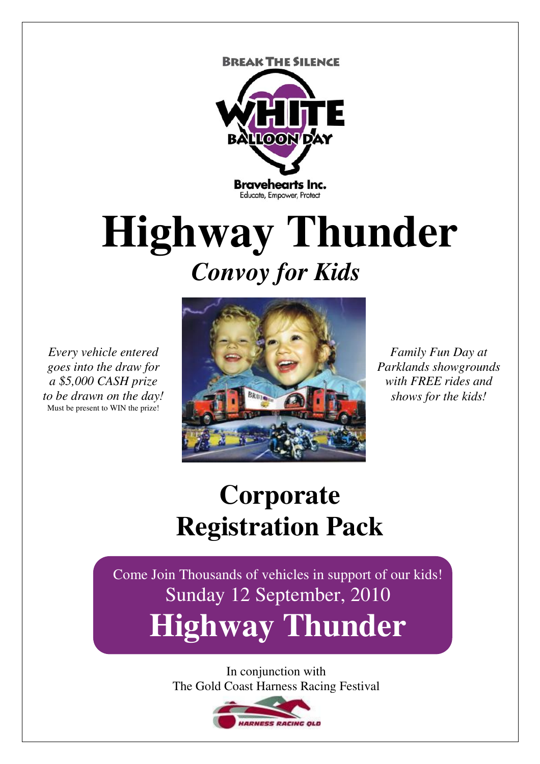**BREAK THE SILENCE** 



# **Highway Thunder**  *Convoy for Kids*

*Every vehicle entered goes into the draw for a \$5,000 CASH prize to be drawn on the day!*  Must be present to WIN the prize!



*Family Fun Day at Parklands showgrounds with FREE rides and shows for the kids!* 

### **Corporate Registration Pack**

Come Join Thousands of vehicles in support of our kids! Sunday 12 September, 2010 **Highway Thunder**

> In conjunction with The Gold Coast Harness Racing Festival

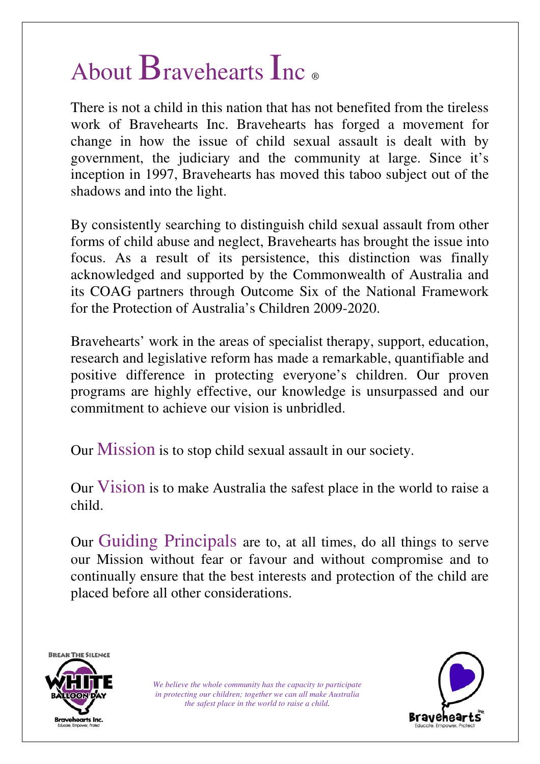## About Bravehearts Inc ®

There is not a child in this nation that has not benefited from the tireless work of Bravehearts Inc. Bravehearts has forged a movement for change in how the issue of child sexual assault is dealt with by government, the judiciary and the community at large. Since it's inception in 1997, Bravehearts has moved this taboo subject out of the shadows and into the light.

By consistently searching to distinguish child sexual assault from other forms of child abuse and neglect, Bravehearts has brought the issue into focus. As a result of its persistence, this distinction was finally acknowledged and supported by the Commonwealth of Australia and its COAG partners through Outcome Six of the National Framework for the Protection of Australia's Children 2009-2020.

Bravehearts' work in the areas of specialist therapy, support, education, research and legislative reform has made a remarkable, quantifiable and positive difference in protecting everyone's children. Our proven programs are highly effective, our knowledge is unsurpassed and our commitment to achieve our vision is unbridled.

Our Mission is to stop child sexual assault in our society.

Our Vision is to make Australia the safest place in the world to raise a child.

Our Guiding Principals are to, at all times, do all things to serve our Mission without fear or favour and without compromise and to continually ensure that the best interests and protection of the child are placed before all other considerations.



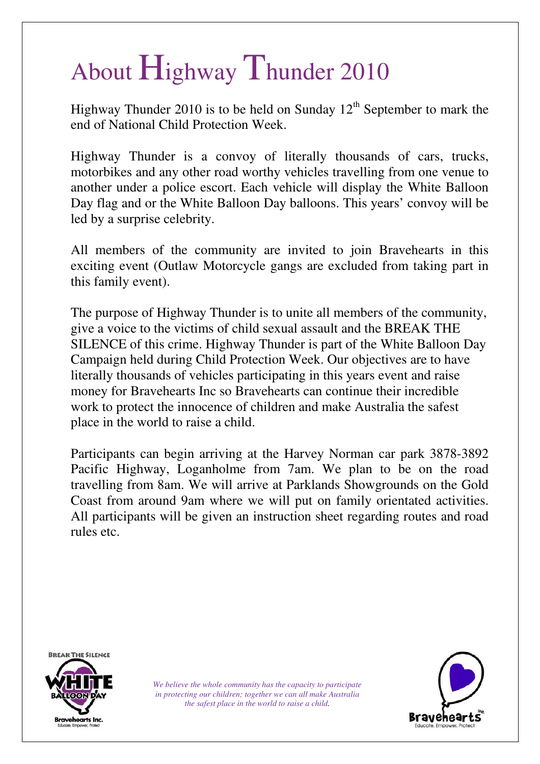# About Highway Thunder 2010

Highway Thunder 2010 is to be held on Sunday  $12<sup>th</sup>$  September to mark the end of National Child Protection Week.

Highway Thunder is a convoy of literally thousands of cars, trucks, motorbikes and any other road worthy vehicles travelling from one venue to another under a police escort. Each vehicle will display the White Balloon Day flag and or the White Balloon Day balloons. This years' convoy will be led by a surprise celebrity.

All members of the community are invited to join Bravehearts in this exciting event (Outlaw Motorcycle gangs are excluded from taking part in this family event).

The purpose of Highway Thunder is to unite all members of the community, give a voice to the victims of child sexual assault and the BREAK THE SILENCE of this crime. Highway Thunder is part of the White Balloon Day Campaign held during Child Protection Week. Our objectives are to have literally thousands of vehicles participating in this years event and raise money for Bravehearts Inc so Bravehearts can continue their incredible work to protect the innocence of children and make Australia the safest place in the world to raise a child.

Participants can begin arriving at the Harvey Norman car park 3878-3892 Pacific Highway, Loganholme from 7am. We plan to be on the road travelling from 8am. We will arrive at Parklands Showgrounds on the Gold Coast from around 9am where we will put on family orientated activities. All participants will be given an instruction sheet regarding routes and road rules etc.



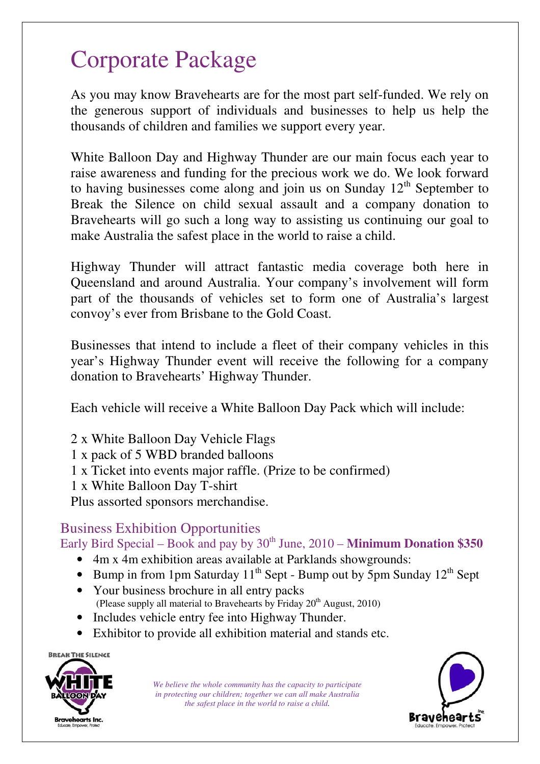### Corporate Package

As you may know Bravehearts are for the most part self-funded. We rely on the generous support of individuals and businesses to help us help the thousands of children and families we support every year.

White Balloon Day and Highway Thunder are our main focus each year to raise awareness and funding for the precious work we do. We look forward to having businesses come along and join us on Sunday  $12<sup>th</sup>$  September to Break the Silence on child sexual assault and a company donation to Bravehearts will go such a long way to assisting us continuing our goal to make Australia the safest place in the world to raise a child.

Highway Thunder will attract fantastic media coverage both here in Queensland and around Australia. Your company's involvement will form part of the thousands of vehicles set to form one of Australia's largest convoy's ever from Brisbane to the Gold Coast.

Businesses that intend to include a fleet of their company vehicles in this year's Highway Thunder event will receive the following for a company donation to Bravehearts' Highway Thunder.

Each vehicle will receive a White Balloon Day Pack which will include:

- 2 x White Balloon Day Vehicle Flags
- 1 x pack of 5 WBD branded balloons
- 1 x Ticket into events major raffle. (Prize to be confirmed)
- 1 x White Balloon Day T-shirt

Plus assorted sponsors merchandise.

#### Business Exhibition Opportunities

Early Bird Special – Book and pay by  $30<sup>th</sup>$  June,  $2010 -$  **Minimum Donation \$350** 

- 4m x 4m exhibition areas available at Parklands showgrounds:
- Bump in from 1pm Saturday  $11^{th}$  Sept Bump out by 5pm Sunday  $12^{th}$  Sept
- Your business brochure in all entry packs (Please supply all material to Bravehearts by Friday  $20^{th}$  August, 2010)
- Includes vehicle entry fee into Highway Thunder.
- Exhibitor to provide all exhibition material and stands etc.



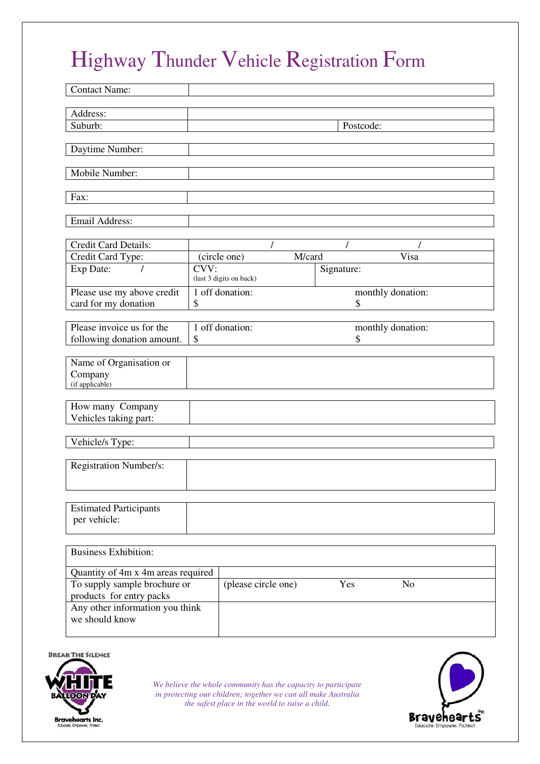### Highway Thunder Vehicle Registration Form

| <b>Contact Name:</b>                                                         |                         |        |            |                   |  |
|------------------------------------------------------------------------------|-------------------------|--------|------------|-------------------|--|
| Address:                                                                     |                         |        |            |                   |  |
| Suburb:                                                                      | Postcode:               |        |            |                   |  |
|                                                                              |                         |        |            |                   |  |
| Daytime Number:                                                              |                         |        |            |                   |  |
| Mobile Number:                                                               |                         |        |            |                   |  |
|                                                                              |                         |        |            |                   |  |
| Fax:                                                                         |                         |        |            |                   |  |
| Email Address:                                                               |                         |        |            |                   |  |
|                                                                              |                         |        |            |                   |  |
| Credit Card Details:<br>Credit Card Type:                                    | (circle one)            | M/card |            | Visa              |  |
| Exp Date:                                                                    | CVV:                    |        | Signature: |                   |  |
|                                                                              | (last 3 digits on back) |        |            |                   |  |
| Please use my above credit                                                   | 1 off donation:         |        |            | monthly donation: |  |
| card for my donation                                                         | \$                      |        | \$         |                   |  |
| Please invoice us for the                                                    | 1 off donation:         |        |            | monthly donation: |  |
| following donation amount.                                                   | \$                      |        | \$         |                   |  |
| Name of Organisation or                                                      |                         |        |            |                   |  |
| Company                                                                      |                         |        |            |                   |  |
| (if applicable)                                                              |                         |        |            |                   |  |
| How many Company                                                             |                         |        |            |                   |  |
| Vehicles taking part:                                                        |                         |        |            |                   |  |
|                                                                              |                         |        |            |                   |  |
| Vehicle/s Type:                                                              |                         |        |            |                   |  |
| Registration Number/s:                                                       |                         |        |            |                   |  |
|                                                                              |                         |        |            |                   |  |
|                                                                              |                         |        |            |                   |  |
| <b>Estimated Participants</b>                                                |                         |        |            |                   |  |
| per vehicle:                                                                 |                         |        |            |                   |  |
|                                                                              |                         |        |            |                   |  |
| <b>Business Exhibition:</b>                                                  |                         |        |            |                   |  |
| Quantity of 4m x 4m areas required                                           |                         |        |            |                   |  |
| To supply sample brochure or<br>(please circle one)<br>Yes<br>N <sub>o</sub> |                         |        |            |                   |  |
| products for entry packs                                                     |                         |        |            |                   |  |
| Any other information you think<br>we should know                            |                         |        |            |                   |  |
|                                                                              |                         |        |            |                   |  |